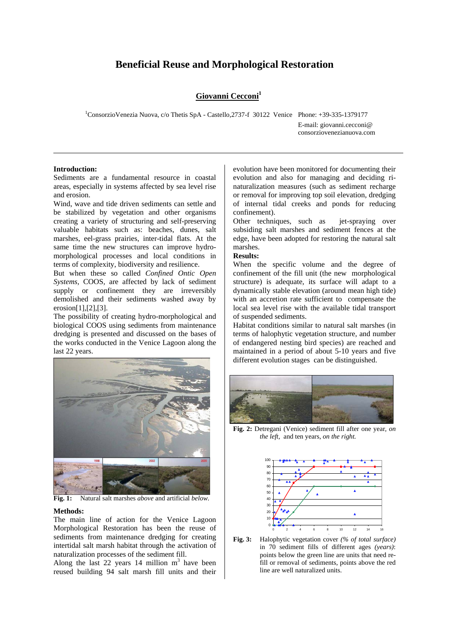# **Beneficial Reuse and Morphological Restoration**

# Giovanni Cecconi<sup>1</sup>

1ConsorzioVenezia Nuova, c/o Thetis SpA - Castello,2737-f 30122 Venice Phone: +39-335-1379177

E-mail: giovanni.cecconi@ consorziovenezianuova.com

### **Introduction:**

Sediments are a fundamental resource in coastal areas, especially in systems affected by sea level rise and erosion.

Wind, wave and tide driven sediments can settle and be stabilized by vegetation and other organisms creating a variety of structuring and self-preserving valuable habitats such as: beaches, dunes, salt marshes, eel-grass prairies, inter-tidal flats. At the same time the new structures can improve hydromorphological processes and local conditions in terms of complexity, biodiversity and resilience.

But when these so called *Confined Ontic Open Systems,* COOS*,* are affected by lack of sediment supply or confinement they are irreversibly demolished and their sediments washed away by erosion[1],[2],[3].

The possibility of creating hydro-morphological and biological COOS using sediments from maintenance dredging is presented and discussed on the bases of the works conducted in the Venice Lagoon along the last 22 years.



**Fig. 1:** Natural salt marshes *above* and artificial *below.* 

#### **Methods:**

The main line of action for the Venice Lagoon Morphological Restoration has been the reuse of sediments from maintenance dredging for creating intertidal salt marsh habitat through the activation of naturalization processes of the sediment fill.

Along the last 22 years  $14$  million m<sup>3</sup> have been reused building 94 salt marsh fill units and their

evolution have been monitored for documenting their evolution and also for managing and deciding rinaturalization measures (such as sediment recharge or removal for improving top soil elevation, dredging of internal tidal creeks and ponds for reducing confinement).

Other techniques, such as jet-spraying over subsiding salt marshes and sediment fences at the edge, have been adopted for restoring the natural salt marshes.

## **Results:**

When the specific volume and the degree of confinement of the fill unit (the new morphological structure) is adequate, its surface will adapt to a dynamically stable elevation (around mean high tide) with an accretion rate sufficient to compensate the local sea level rise with the available tidal transport of suspended sediments.

Habitat conditions similar to natural salt marshes (in terms of halophytic vegetation structure, and number of endangered nesting bird species) are reached and maintained in a period of about 5-10 years and five different evolution stages can be distinguished.



**Fig. 2:** Detregani (Venice) sediment fill after one year, *on the left,* and ten years, *on the right.*



**Fig. 3:** Halophytic vegetation cover *(% of total surface)* **à**in 70 sediment fills of different ages *(years)*: points below the green line are units that need refill or removal of sediments, points above the red line are well naturalized units.